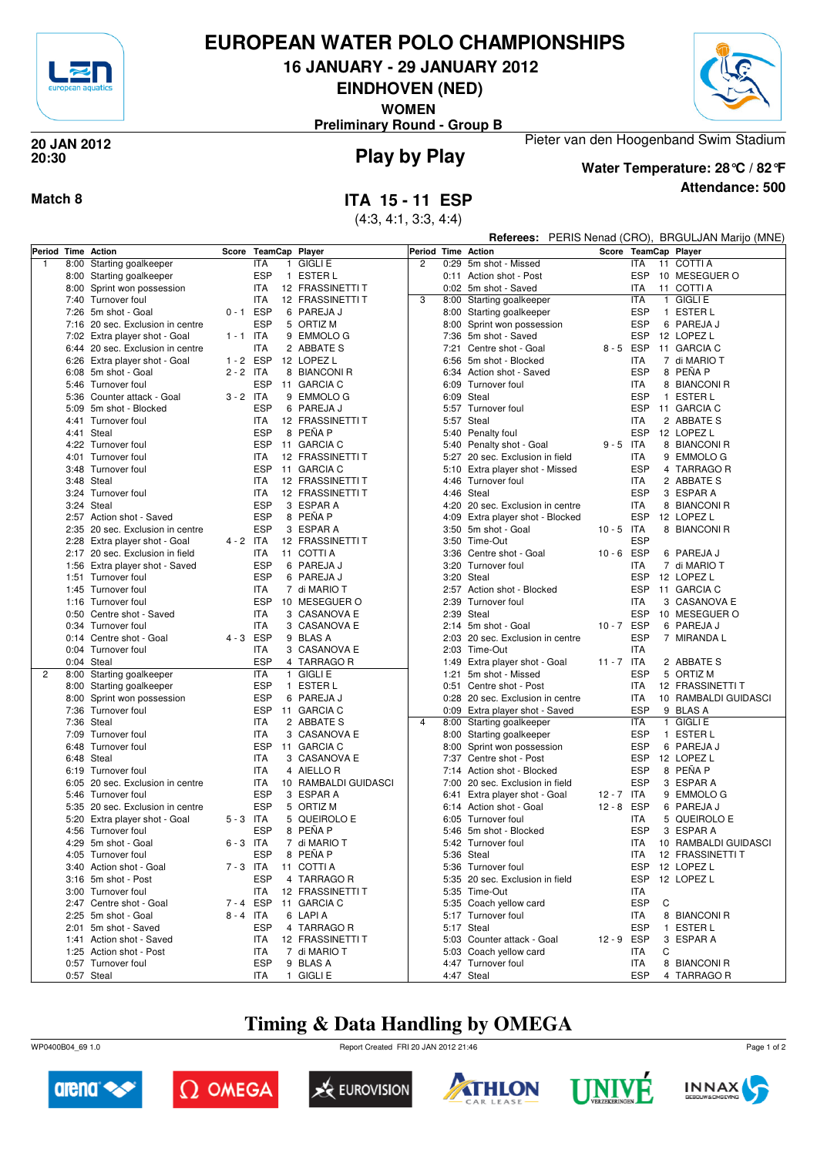

## **EUROPEAN WATER POLO CHAMPIONSHIPS**

**16 JANUARY - 29 JANUARY 2012**

**EINDHOVEN (NED)**

**WOMEN**

**Preliminary Round - Group B**



### **Play by Play 20 JAN 2012 20:30**

## **Match 8 ITA 15 - 11 ESP**

(4:3, 4:1, 3:3, 4:4)

**Attendance: 500 Water Temperature: 28°C / 82°F**

Pieter van den Hoogenband Swim Stadium

**Referees:** PERIS Nenad (CRO), BRGULJAN Marijo (MNE)

| Starting goalkeeper<br><b>ITA</b><br><b>GIGLI E</b><br>$\overline{2}$<br>0:29 5m shot - Missed<br><b>ITA</b><br>11 COTTI A<br>$\mathbf{1}$<br>8:00<br>$\mathbf{1}$<br><b>ESP</b><br><b>ESP</b><br>1 ESTER L<br>10 MESEGUER O<br>8:00 Starting goalkeeper<br>0:11 Action shot - Post<br><b>ITA</b><br>12 FRASSINETTI T<br><b>ITA</b><br>11 COTTI A<br>8:00 Sprint won possession<br>0:02 5m shot - Saved<br>1 GIGLI E<br>7:40 Turnover foul<br><b>ITA</b><br>12 FRASSINETTI T<br>3<br>8:00 Starting goalkeeper<br>ITA<br>$0 - 1$ ESP<br><b>ESP</b><br>7:26 5m shot - Goal<br>6 PAREJA J<br>8:00 Starting goalkeeper<br>1 ESTER L<br><b>ESP</b><br><b>ESP</b><br>7:16 20 sec. Exclusion in centre<br>5 ORTIZ M<br>8:00 Sprint won possession<br>6 PAREJA J<br><b>ESP</b><br>$1 - 1$ ITA<br>9 EMMOLO G<br>7:36 5m shot - Saved<br>12 LOPEZ L<br>7:02 Extra player shot - Goal<br>8-5 ESP<br>6:44 20 sec. Exclusion in centre<br><b>ITA</b><br>2 ABBATE S<br>7:21 Centre shot - Goal<br>11 GARCIA C<br><b>ESP</b><br>$1 - 2$<br>12 LOPEZ L<br>6:56 5m shot - Blocked<br><b>ITA</b><br>7 di MARIO T<br>6:26 Extra player shot - Goal<br>$2 - 2$ ITA<br><b>ESP</b><br>6:08 5m shot - Goal<br>8 BIANCONI R<br>8 PENA P<br>6:34 Action shot - Saved<br>5:46 Turnover foul<br><b>ESP</b><br>11 GARCIA C<br>6:09 Turnover foul<br>8 BIANCONI R<br>ITA<br>$3 - 2$ ITA<br>9 EMMOLO G<br>6:09 Steal<br><b>ESP</b><br>1 ESTER L<br>5:36 Counter attack - Goal<br>5m shot - Blocked<br><b>ESP</b><br>6 PAREJA J<br>5:57 Turnover foul<br><b>ESP</b><br>11 GARCIA C<br>5:09<br>5:57 Steal<br>2 ABBATE S<br>4:41 Turnover foul<br>ITA<br>12 FRASSINETTI T<br>ITA<br><b>ESP</b><br>8 PEÑA P<br>12 LOPEZ L<br>4:41 Steal<br>5:40 Penalty foul<br><b>ESP</b><br><b>ESP</b><br>$9 - 5$ ITA<br>4:22 Turnover foul<br>11 GARCIA C<br>5:40 Penalty shot - Goal<br>8 BIANCONI R<br>4:01<br>Turnover foul<br><b>ITA</b><br>12 FRASSINETTI T<br>5:27 20 sec. Exclusion in field<br><b>ITA</b><br>9 EMMOLO G<br><b>ESP</b><br><b>ESP</b><br>11 GARCIA C<br>4 TARRAGO R<br>3:48 Turnover foul<br>5:10 Extra player shot - Missed<br>3:48 Steal<br><b>ITA</b><br>12 FRASSINETTI T<br>4:46 Turnover foul<br>ITA<br>2 ABBATE S<br>3:24 Turnover foul<br><b>ITA</b><br>12 FRASSINETTI T<br>4:46 Steal<br><b>ESP</b><br>3 ESPAR A<br><b>ESP</b><br>3:24 Steal<br>3 ESPAR A<br>4:20 20 sec. Exclusion in centre<br><b>ITA</b><br>8 BIANCONI R<br>8 PEÑA P<br><b>ESP</b><br><b>ESP</b><br>12 LOPEZ L<br>2:57 Action shot - Saved<br>4:09 Extra player shot - Blocked<br><b>ESP</b><br>3 ESPAR A<br>$10 - 5$ ITA<br>2:35 20 sec. Exclusion in centre<br>3:50 5m shot - Goal<br>8 BIANCONI R<br>$4 - 2$ ITA<br>12 FRASSINETTI T<br><b>ESP</b><br>2:28 Extra player shot - Goal<br>3:50 Time-Out<br>10-6 ESP<br>2:17 20 sec. Exclusion in field<br>ITA<br>11 COTTI A<br>3:36 Centre shot - Goal<br>6 PAREJA J<br><b>ESP</b><br>1:56 Extra player shot - Saved<br>6 PAREJA J<br>3:20 Turnover foul<br>7 di MARIO T<br>ITA<br>1:51 Turnover foul<br><b>ESP</b><br>6 PAREJA J<br>3:20 Steal<br><b>ESP</b><br>12 LOPEZ L<br><b>ITA</b><br><b>ESP</b><br>11 GARCIA C<br>1:45 Turnover foul<br>7 di MARIO T<br>2:57 Action shot - Blocked<br><b>ESP</b><br>1:16 Turnover foul<br>10 MESEGUER O<br>2:39 Turnover foul<br>3 CASANOVA E<br>ITA<br><b>ITA</b><br>2:39 Steal<br><b>ESP</b><br>3 CASANOVA E<br>10 MESEGUER O<br>0:50 Centre shot - Saved<br><b>ITA</b><br>$10 - 7$<br><b>ESP</b><br>0:34 Turnover foul<br>3 CASANOVA E<br>2:14 5m shot - Goal<br>6 PAREJA J<br>4-3 ESP<br><b>ESP</b><br>0:14 Centre shot - Goal<br>9 BLAS A<br>2:03 20 sec. Exclusion in centre<br>7 MIRANDA L<br>0:04 Turnover foul<br><b>ITA</b><br>3 CASANOVA E<br>2:03 Time-Out<br>ITA<br><b>ESP</b><br>0:04 Steal<br>4 TARRAGO R<br>$11 - 7$ ITA<br>2 ABBATE S<br>1:49 Extra player shot - Goal<br>8:00 Starting goalkeeper<br><b>ITA</b><br>$\overline{c}$<br>1 GIGLI E<br>1:21 5m shot - Missed<br><b>ESP</b><br>5 ORTIZ M<br><b>ESP</b><br>8:00 Starting goalkeeper<br>1 ESTER L<br>ITA<br>12 FRASSINETTI T<br>0:51 Centre shot - Post<br><b>ESP</b><br>Sprint won possession<br>6 PAREJA J<br>0:28 20 sec. Exclusion in centre<br>ITA<br>10 RAMBALDI GUIDASCI<br>8:00<br>7:36 Turnover foul<br><b>ESP</b><br><b>ESP</b><br>11 GARCIA C<br>0:09 Extra player shot - Saved<br>9 BLAS A<br>1 GIGLI E<br>7:36 Steal<br><b>ITA</b><br>2 ABBATE S<br>4<br>8:00 Starting goalkeeper<br>ITA<br>7:09 Turnover foul<br><b>ITA</b><br>3 CASANOVA E<br>8:00 Starting goalkeeper<br><b>ESP</b><br>1 ESTER L<br>6:48 Turnover foul<br><b>ESP</b><br>11 GARCIA C<br>8:00 Sprint won possession<br><b>ESP</b><br>6 PAREJA J<br>6:48 Steal<br><b>ITA</b><br>3 CASANOVA E<br>7:37 Centre shot - Post<br><b>ESP</b><br>12 LOPEZ L<br>8 PEÑA P<br><b>ESP</b><br>Turnover foul<br><b>ITA</b><br>4 AIELLO R<br>6:19<br>7:14 Action shot - Blocked<br><b>ESP</b><br>3 ESPAR A<br>6:05 20 sec. Exclusion in centre<br><b>ITA</b><br>10 RAMBALDI GUIDASCI<br>7:00 20 sec. Exclusion in field<br><b>ESP</b><br>3 ESPAR A<br>5:46 Turnover foul<br>6:41 Extra player shot - Goal<br>$12 - 7$ ITA<br>9 EMMOLO G<br><b>ESP</b><br>12 - 8 ESP<br>5 ORTIZ M<br>6:14 Action shot - Goal<br>6 PAREJA J<br>5:35 20 sec. Exclusion in centre<br>$5 - 3$ ITA<br>5 QUEIROLO E<br>6:05 Turnover foul<br>ITA<br>5 QUEIROLO E<br>5:20 Extra player shot - Goal<br><b>ESP</b><br>8 PENA P<br><b>ESP</b><br>3 ESPAR A<br>4:56 Turnover foul<br>5:46 5m shot - Blocked<br>4:29 5m shot - Goal<br>$6 - 3$ ITA<br>7 di MARIO T<br>5:42 Turnover foul<br>10 RAMBALDI GUIDASCI<br>ITA<br>8 PEÑA P<br><b>ESP</b><br>4:05 Turnover foul<br>5:36 Steal<br><b>ITA</b><br>12 FRASSINETTI T<br>$7 - 3$ ITA<br>3:40 Action shot - Goal<br>11 COTTI A<br>5:36 Turnover foul<br>ESP 12 LOPEZ L<br><b>ESP</b><br>4 TARRAGO R<br>5:35 20 sec. Exclusion in field<br>ESP 12 LOPEZ L<br>3:16 5m shot - Post<br>3:00 Turnover foul<br>ITA<br>12 FRASSINETTI T<br>5:35 Time-Out<br><b>ITA</b><br>7-4 ESP<br>11 GARCIA C<br><b>ESP</b><br>C<br>2:47 Centre shot - Goal<br>5:35 Coach yellow card<br>2:25 5m shot - Goal<br>$8 - 4$ ITA<br>6 LAPI A<br>5:17 Turnover foul<br>ITA<br>8 BIANCONI R<br>2:01 5m shot - Saved<br><b>ESP</b><br>4 TARRAGO R<br>5:17 Steal<br><b>ESP</b><br>1 ESTER L<br>1:41 Action shot - Saved<br>12 FRASSINETTI T<br>5:03 Counter attack - Goal<br>12-9 ESP<br>3 ESPAR A<br>ITA<br>C<br>1:25 Action shot - Post<br>7 di MARIO T<br>5:03 Coach yellow card<br>ITA<br>ITA<br><b>ESP</b><br>0:57 Turnover foul<br>9 BLAS A<br>4:47 Turnover foul<br>8 BIANCONI R<br>ITA<br>0:57 Steal<br>1 GIGLI E<br>4:47 Steal<br><b>ESP</b><br>4 TARRAGO R<br>ITA | Period Time Action |  | Score TeamCap Player | Period Time Action |  | Score | TeamCap Player |
|------------------------------------------------------------------------------------------------------------------------------------------------------------------------------------------------------------------------------------------------------------------------------------------------------------------------------------------------------------------------------------------------------------------------------------------------------------------------------------------------------------------------------------------------------------------------------------------------------------------------------------------------------------------------------------------------------------------------------------------------------------------------------------------------------------------------------------------------------------------------------------------------------------------------------------------------------------------------------------------------------------------------------------------------------------------------------------------------------------------------------------------------------------------------------------------------------------------------------------------------------------------------------------------------------------------------------------------------------------------------------------------------------------------------------------------------------------------------------------------------------------------------------------------------------------------------------------------------------------------------------------------------------------------------------------------------------------------------------------------------------------------------------------------------------------------------------------------------------------------------------------------------------------------------------------------------------------------------------------------------------------------------------------------------------------------------------------------------------------------------------------------------------------------------------------------------------------------------------------------------------------------------------------------------------------------------------------------------------------------------------------------------------------------------------------------------------------------------------------------------------------------------------------------------------------------------------------------------------------------------------------------------------------------------------------------------------------------------------------------------------------------------------------------------------------------------------------------------------------------------------------------------------------------------------------------------------------------------------------------------------------------------------------------------------------------------------------------------------------------------------------------------------------------------------------------------------------------------------------------------------------------------------------------------------------------------------------------------------------------------------------------------------------------------------------------------------------------------------------------------------------------------------------------------------------------------------------------------------------------------------------------------------------------------------------------------------------------------------------------------------------------------------------------------------------------------------------------------------------------------------------------------------------------------------------------------------------------------------------------------------------------------------------------------------------------------------------------------------------------------------------------------------------------------------------------------------------------------------------------------------------------------------------------------------------------------------------------------------------------------------------------------------------------------------------------------------------------------------------------------------------------------------------------------------------------------------------------------------------------------------------------------------------------------------------------------------------------------------------------------------------------------------------------------------------------------------------------------------------------------------------------------------------------------------------------------------------------------------------------------------------------------------------------------------------------------------------------------------------------------------------------------------------------------------------------------------------------------------------------------------------------------------------------------------------------------------------------------------------------------------------------------------------------------------------------------------------------------------------------------------------------------------------------------------------------------------------------------------------------------------------------------------------------------------------------------------------------------------------------------------------------------------------------------------------------------------------------------------------------------------------------------------------------------------------------------------------------------------------------------------------------------------------------------------------------------------------------------------------------------------------------------------------------------------------------------------------------------------------------------------------------------------------------------------------------------------------------------------------------------------------------------------------------------------------------------------------------------------------------------------------------------------------------------------------------------------------------------------------------------------------------------------|--------------------|--|----------------------|--------------------|--|-------|----------------|
|                                                                                                                                                                                                                                                                                                                                                                                                                                                                                                                                                                                                                                                                                                                                                                                                                                                                                                                                                                                                                                                                                                                                                                                                                                                                                                                                                                                                                                                                                                                                                                                                                                                                                                                                                                                                                                                                                                                                                                                                                                                                                                                                                                                                                                                                                                                                                                                                                                                                                                                                                                                                                                                                                                                                                                                                                                                                                                                                                                                                                                                                                                                                                                                                                                                                                                                                                                                                                                                                                                                                                                                                                                                                                                                                                                                                                                                                                                                                                                                                                                                                                                                                                                                                                                                                                                                                                                                                                                                                                                                                                                                                                                                                                                                                                                                                                                                                                                                                                                                                                                                                                                                                                                                                                                                                                                                                                                                                                                                                                                                                                                                                                                                                                                                                                                                                                                                                                                                                                                                                                                                                                                                                                                                                                                                                                                                                                                                                                                                                                                                                                                                                                                                      |                    |  |                      |                    |  |       |                |
|                                                                                                                                                                                                                                                                                                                                                                                                                                                                                                                                                                                                                                                                                                                                                                                                                                                                                                                                                                                                                                                                                                                                                                                                                                                                                                                                                                                                                                                                                                                                                                                                                                                                                                                                                                                                                                                                                                                                                                                                                                                                                                                                                                                                                                                                                                                                                                                                                                                                                                                                                                                                                                                                                                                                                                                                                                                                                                                                                                                                                                                                                                                                                                                                                                                                                                                                                                                                                                                                                                                                                                                                                                                                                                                                                                                                                                                                                                                                                                                                                                                                                                                                                                                                                                                                                                                                                                                                                                                                                                                                                                                                                                                                                                                                                                                                                                                                                                                                                                                                                                                                                                                                                                                                                                                                                                                                                                                                                                                                                                                                                                                                                                                                                                                                                                                                                                                                                                                                                                                                                                                                                                                                                                                                                                                                                                                                                                                                                                                                                                                                                                                                                                                      |                    |  |                      |                    |  |       |                |
|                                                                                                                                                                                                                                                                                                                                                                                                                                                                                                                                                                                                                                                                                                                                                                                                                                                                                                                                                                                                                                                                                                                                                                                                                                                                                                                                                                                                                                                                                                                                                                                                                                                                                                                                                                                                                                                                                                                                                                                                                                                                                                                                                                                                                                                                                                                                                                                                                                                                                                                                                                                                                                                                                                                                                                                                                                                                                                                                                                                                                                                                                                                                                                                                                                                                                                                                                                                                                                                                                                                                                                                                                                                                                                                                                                                                                                                                                                                                                                                                                                                                                                                                                                                                                                                                                                                                                                                                                                                                                                                                                                                                                                                                                                                                                                                                                                                                                                                                                                                                                                                                                                                                                                                                                                                                                                                                                                                                                                                                                                                                                                                                                                                                                                                                                                                                                                                                                                                                                                                                                                                                                                                                                                                                                                                                                                                                                                                                                                                                                                                                                                                                                                                      |                    |  |                      |                    |  |       |                |
|                                                                                                                                                                                                                                                                                                                                                                                                                                                                                                                                                                                                                                                                                                                                                                                                                                                                                                                                                                                                                                                                                                                                                                                                                                                                                                                                                                                                                                                                                                                                                                                                                                                                                                                                                                                                                                                                                                                                                                                                                                                                                                                                                                                                                                                                                                                                                                                                                                                                                                                                                                                                                                                                                                                                                                                                                                                                                                                                                                                                                                                                                                                                                                                                                                                                                                                                                                                                                                                                                                                                                                                                                                                                                                                                                                                                                                                                                                                                                                                                                                                                                                                                                                                                                                                                                                                                                                                                                                                                                                                                                                                                                                                                                                                                                                                                                                                                                                                                                                                                                                                                                                                                                                                                                                                                                                                                                                                                                                                                                                                                                                                                                                                                                                                                                                                                                                                                                                                                                                                                                                                                                                                                                                                                                                                                                                                                                                                                                                                                                                                                                                                                                                                      |                    |  |                      |                    |  |       |                |
|                                                                                                                                                                                                                                                                                                                                                                                                                                                                                                                                                                                                                                                                                                                                                                                                                                                                                                                                                                                                                                                                                                                                                                                                                                                                                                                                                                                                                                                                                                                                                                                                                                                                                                                                                                                                                                                                                                                                                                                                                                                                                                                                                                                                                                                                                                                                                                                                                                                                                                                                                                                                                                                                                                                                                                                                                                                                                                                                                                                                                                                                                                                                                                                                                                                                                                                                                                                                                                                                                                                                                                                                                                                                                                                                                                                                                                                                                                                                                                                                                                                                                                                                                                                                                                                                                                                                                                                                                                                                                                                                                                                                                                                                                                                                                                                                                                                                                                                                                                                                                                                                                                                                                                                                                                                                                                                                                                                                                                                                                                                                                                                                                                                                                                                                                                                                                                                                                                                                                                                                                                                                                                                                                                                                                                                                                                                                                                                                                                                                                                                                                                                                                                                      |                    |  |                      |                    |  |       |                |
|                                                                                                                                                                                                                                                                                                                                                                                                                                                                                                                                                                                                                                                                                                                                                                                                                                                                                                                                                                                                                                                                                                                                                                                                                                                                                                                                                                                                                                                                                                                                                                                                                                                                                                                                                                                                                                                                                                                                                                                                                                                                                                                                                                                                                                                                                                                                                                                                                                                                                                                                                                                                                                                                                                                                                                                                                                                                                                                                                                                                                                                                                                                                                                                                                                                                                                                                                                                                                                                                                                                                                                                                                                                                                                                                                                                                                                                                                                                                                                                                                                                                                                                                                                                                                                                                                                                                                                                                                                                                                                                                                                                                                                                                                                                                                                                                                                                                                                                                                                                                                                                                                                                                                                                                                                                                                                                                                                                                                                                                                                                                                                                                                                                                                                                                                                                                                                                                                                                                                                                                                                                                                                                                                                                                                                                                                                                                                                                                                                                                                                                                                                                                                                                      |                    |  |                      |                    |  |       |                |
|                                                                                                                                                                                                                                                                                                                                                                                                                                                                                                                                                                                                                                                                                                                                                                                                                                                                                                                                                                                                                                                                                                                                                                                                                                                                                                                                                                                                                                                                                                                                                                                                                                                                                                                                                                                                                                                                                                                                                                                                                                                                                                                                                                                                                                                                                                                                                                                                                                                                                                                                                                                                                                                                                                                                                                                                                                                                                                                                                                                                                                                                                                                                                                                                                                                                                                                                                                                                                                                                                                                                                                                                                                                                                                                                                                                                                                                                                                                                                                                                                                                                                                                                                                                                                                                                                                                                                                                                                                                                                                                                                                                                                                                                                                                                                                                                                                                                                                                                                                                                                                                                                                                                                                                                                                                                                                                                                                                                                                                                                                                                                                                                                                                                                                                                                                                                                                                                                                                                                                                                                                                                                                                                                                                                                                                                                                                                                                                                                                                                                                                                                                                                                                                      |                    |  |                      |                    |  |       |                |
|                                                                                                                                                                                                                                                                                                                                                                                                                                                                                                                                                                                                                                                                                                                                                                                                                                                                                                                                                                                                                                                                                                                                                                                                                                                                                                                                                                                                                                                                                                                                                                                                                                                                                                                                                                                                                                                                                                                                                                                                                                                                                                                                                                                                                                                                                                                                                                                                                                                                                                                                                                                                                                                                                                                                                                                                                                                                                                                                                                                                                                                                                                                                                                                                                                                                                                                                                                                                                                                                                                                                                                                                                                                                                                                                                                                                                                                                                                                                                                                                                                                                                                                                                                                                                                                                                                                                                                                                                                                                                                                                                                                                                                                                                                                                                                                                                                                                                                                                                                                                                                                                                                                                                                                                                                                                                                                                                                                                                                                                                                                                                                                                                                                                                                                                                                                                                                                                                                                                                                                                                                                                                                                                                                                                                                                                                                                                                                                                                                                                                                                                                                                                                                                      |                    |  |                      |                    |  |       |                |
|                                                                                                                                                                                                                                                                                                                                                                                                                                                                                                                                                                                                                                                                                                                                                                                                                                                                                                                                                                                                                                                                                                                                                                                                                                                                                                                                                                                                                                                                                                                                                                                                                                                                                                                                                                                                                                                                                                                                                                                                                                                                                                                                                                                                                                                                                                                                                                                                                                                                                                                                                                                                                                                                                                                                                                                                                                                                                                                                                                                                                                                                                                                                                                                                                                                                                                                                                                                                                                                                                                                                                                                                                                                                                                                                                                                                                                                                                                                                                                                                                                                                                                                                                                                                                                                                                                                                                                                                                                                                                                                                                                                                                                                                                                                                                                                                                                                                                                                                                                                                                                                                                                                                                                                                                                                                                                                                                                                                                                                                                                                                                                                                                                                                                                                                                                                                                                                                                                                                                                                                                                                                                                                                                                                                                                                                                                                                                                                                                                                                                                                                                                                                                                                      |                    |  |                      |                    |  |       |                |
|                                                                                                                                                                                                                                                                                                                                                                                                                                                                                                                                                                                                                                                                                                                                                                                                                                                                                                                                                                                                                                                                                                                                                                                                                                                                                                                                                                                                                                                                                                                                                                                                                                                                                                                                                                                                                                                                                                                                                                                                                                                                                                                                                                                                                                                                                                                                                                                                                                                                                                                                                                                                                                                                                                                                                                                                                                                                                                                                                                                                                                                                                                                                                                                                                                                                                                                                                                                                                                                                                                                                                                                                                                                                                                                                                                                                                                                                                                                                                                                                                                                                                                                                                                                                                                                                                                                                                                                                                                                                                                                                                                                                                                                                                                                                                                                                                                                                                                                                                                                                                                                                                                                                                                                                                                                                                                                                                                                                                                                                                                                                                                                                                                                                                                                                                                                                                                                                                                                                                                                                                                                                                                                                                                                                                                                                                                                                                                                                                                                                                                                                                                                                                                                      |                    |  |                      |                    |  |       |                |
|                                                                                                                                                                                                                                                                                                                                                                                                                                                                                                                                                                                                                                                                                                                                                                                                                                                                                                                                                                                                                                                                                                                                                                                                                                                                                                                                                                                                                                                                                                                                                                                                                                                                                                                                                                                                                                                                                                                                                                                                                                                                                                                                                                                                                                                                                                                                                                                                                                                                                                                                                                                                                                                                                                                                                                                                                                                                                                                                                                                                                                                                                                                                                                                                                                                                                                                                                                                                                                                                                                                                                                                                                                                                                                                                                                                                                                                                                                                                                                                                                                                                                                                                                                                                                                                                                                                                                                                                                                                                                                                                                                                                                                                                                                                                                                                                                                                                                                                                                                                                                                                                                                                                                                                                                                                                                                                                                                                                                                                                                                                                                                                                                                                                                                                                                                                                                                                                                                                                                                                                                                                                                                                                                                                                                                                                                                                                                                                                                                                                                                                                                                                                                                                      |                    |  |                      |                    |  |       |                |
|                                                                                                                                                                                                                                                                                                                                                                                                                                                                                                                                                                                                                                                                                                                                                                                                                                                                                                                                                                                                                                                                                                                                                                                                                                                                                                                                                                                                                                                                                                                                                                                                                                                                                                                                                                                                                                                                                                                                                                                                                                                                                                                                                                                                                                                                                                                                                                                                                                                                                                                                                                                                                                                                                                                                                                                                                                                                                                                                                                                                                                                                                                                                                                                                                                                                                                                                                                                                                                                                                                                                                                                                                                                                                                                                                                                                                                                                                                                                                                                                                                                                                                                                                                                                                                                                                                                                                                                                                                                                                                                                                                                                                                                                                                                                                                                                                                                                                                                                                                                                                                                                                                                                                                                                                                                                                                                                                                                                                                                                                                                                                                                                                                                                                                                                                                                                                                                                                                                                                                                                                                                                                                                                                                                                                                                                                                                                                                                                                                                                                                                                                                                                                                                      |                    |  |                      |                    |  |       |                |
|                                                                                                                                                                                                                                                                                                                                                                                                                                                                                                                                                                                                                                                                                                                                                                                                                                                                                                                                                                                                                                                                                                                                                                                                                                                                                                                                                                                                                                                                                                                                                                                                                                                                                                                                                                                                                                                                                                                                                                                                                                                                                                                                                                                                                                                                                                                                                                                                                                                                                                                                                                                                                                                                                                                                                                                                                                                                                                                                                                                                                                                                                                                                                                                                                                                                                                                                                                                                                                                                                                                                                                                                                                                                                                                                                                                                                                                                                                                                                                                                                                                                                                                                                                                                                                                                                                                                                                                                                                                                                                                                                                                                                                                                                                                                                                                                                                                                                                                                                                                                                                                                                                                                                                                                                                                                                                                                                                                                                                                                                                                                                                                                                                                                                                                                                                                                                                                                                                                                                                                                                                                                                                                                                                                                                                                                                                                                                                                                                                                                                                                                                                                                                                                      |                    |  |                      |                    |  |       |                |
|                                                                                                                                                                                                                                                                                                                                                                                                                                                                                                                                                                                                                                                                                                                                                                                                                                                                                                                                                                                                                                                                                                                                                                                                                                                                                                                                                                                                                                                                                                                                                                                                                                                                                                                                                                                                                                                                                                                                                                                                                                                                                                                                                                                                                                                                                                                                                                                                                                                                                                                                                                                                                                                                                                                                                                                                                                                                                                                                                                                                                                                                                                                                                                                                                                                                                                                                                                                                                                                                                                                                                                                                                                                                                                                                                                                                                                                                                                                                                                                                                                                                                                                                                                                                                                                                                                                                                                                                                                                                                                                                                                                                                                                                                                                                                                                                                                                                                                                                                                                                                                                                                                                                                                                                                                                                                                                                                                                                                                                                                                                                                                                                                                                                                                                                                                                                                                                                                                                                                                                                                                                                                                                                                                                                                                                                                                                                                                                                                                                                                                                                                                                                                                                      |                    |  |                      |                    |  |       |                |
|                                                                                                                                                                                                                                                                                                                                                                                                                                                                                                                                                                                                                                                                                                                                                                                                                                                                                                                                                                                                                                                                                                                                                                                                                                                                                                                                                                                                                                                                                                                                                                                                                                                                                                                                                                                                                                                                                                                                                                                                                                                                                                                                                                                                                                                                                                                                                                                                                                                                                                                                                                                                                                                                                                                                                                                                                                                                                                                                                                                                                                                                                                                                                                                                                                                                                                                                                                                                                                                                                                                                                                                                                                                                                                                                                                                                                                                                                                                                                                                                                                                                                                                                                                                                                                                                                                                                                                                                                                                                                                                                                                                                                                                                                                                                                                                                                                                                                                                                                                                                                                                                                                                                                                                                                                                                                                                                                                                                                                                                                                                                                                                                                                                                                                                                                                                                                                                                                                                                                                                                                                                                                                                                                                                                                                                                                                                                                                                                                                                                                                                                                                                                                                                      |                    |  |                      |                    |  |       |                |
|                                                                                                                                                                                                                                                                                                                                                                                                                                                                                                                                                                                                                                                                                                                                                                                                                                                                                                                                                                                                                                                                                                                                                                                                                                                                                                                                                                                                                                                                                                                                                                                                                                                                                                                                                                                                                                                                                                                                                                                                                                                                                                                                                                                                                                                                                                                                                                                                                                                                                                                                                                                                                                                                                                                                                                                                                                                                                                                                                                                                                                                                                                                                                                                                                                                                                                                                                                                                                                                                                                                                                                                                                                                                                                                                                                                                                                                                                                                                                                                                                                                                                                                                                                                                                                                                                                                                                                                                                                                                                                                                                                                                                                                                                                                                                                                                                                                                                                                                                                                                                                                                                                                                                                                                                                                                                                                                                                                                                                                                                                                                                                                                                                                                                                                                                                                                                                                                                                                                                                                                                                                                                                                                                                                                                                                                                                                                                                                                                                                                                                                                                                                                                                                      |                    |  |                      |                    |  |       |                |
|                                                                                                                                                                                                                                                                                                                                                                                                                                                                                                                                                                                                                                                                                                                                                                                                                                                                                                                                                                                                                                                                                                                                                                                                                                                                                                                                                                                                                                                                                                                                                                                                                                                                                                                                                                                                                                                                                                                                                                                                                                                                                                                                                                                                                                                                                                                                                                                                                                                                                                                                                                                                                                                                                                                                                                                                                                                                                                                                                                                                                                                                                                                                                                                                                                                                                                                                                                                                                                                                                                                                                                                                                                                                                                                                                                                                                                                                                                                                                                                                                                                                                                                                                                                                                                                                                                                                                                                                                                                                                                                                                                                                                                                                                                                                                                                                                                                                                                                                                                                                                                                                                                                                                                                                                                                                                                                                                                                                                                                                                                                                                                                                                                                                                                                                                                                                                                                                                                                                                                                                                                                                                                                                                                                                                                                                                                                                                                                                                                                                                                                                                                                                                                                      |                    |  |                      |                    |  |       |                |
|                                                                                                                                                                                                                                                                                                                                                                                                                                                                                                                                                                                                                                                                                                                                                                                                                                                                                                                                                                                                                                                                                                                                                                                                                                                                                                                                                                                                                                                                                                                                                                                                                                                                                                                                                                                                                                                                                                                                                                                                                                                                                                                                                                                                                                                                                                                                                                                                                                                                                                                                                                                                                                                                                                                                                                                                                                                                                                                                                                                                                                                                                                                                                                                                                                                                                                                                                                                                                                                                                                                                                                                                                                                                                                                                                                                                                                                                                                                                                                                                                                                                                                                                                                                                                                                                                                                                                                                                                                                                                                                                                                                                                                                                                                                                                                                                                                                                                                                                                                                                                                                                                                                                                                                                                                                                                                                                                                                                                                                                                                                                                                                                                                                                                                                                                                                                                                                                                                                                                                                                                                                                                                                                                                                                                                                                                                                                                                                                                                                                                                                                                                                                                                                      |                    |  |                      |                    |  |       |                |
|                                                                                                                                                                                                                                                                                                                                                                                                                                                                                                                                                                                                                                                                                                                                                                                                                                                                                                                                                                                                                                                                                                                                                                                                                                                                                                                                                                                                                                                                                                                                                                                                                                                                                                                                                                                                                                                                                                                                                                                                                                                                                                                                                                                                                                                                                                                                                                                                                                                                                                                                                                                                                                                                                                                                                                                                                                                                                                                                                                                                                                                                                                                                                                                                                                                                                                                                                                                                                                                                                                                                                                                                                                                                                                                                                                                                                                                                                                                                                                                                                                                                                                                                                                                                                                                                                                                                                                                                                                                                                                                                                                                                                                                                                                                                                                                                                                                                                                                                                                                                                                                                                                                                                                                                                                                                                                                                                                                                                                                                                                                                                                                                                                                                                                                                                                                                                                                                                                                                                                                                                                                                                                                                                                                                                                                                                                                                                                                                                                                                                                                                                                                                                                                      |                    |  |                      |                    |  |       |                |
|                                                                                                                                                                                                                                                                                                                                                                                                                                                                                                                                                                                                                                                                                                                                                                                                                                                                                                                                                                                                                                                                                                                                                                                                                                                                                                                                                                                                                                                                                                                                                                                                                                                                                                                                                                                                                                                                                                                                                                                                                                                                                                                                                                                                                                                                                                                                                                                                                                                                                                                                                                                                                                                                                                                                                                                                                                                                                                                                                                                                                                                                                                                                                                                                                                                                                                                                                                                                                                                                                                                                                                                                                                                                                                                                                                                                                                                                                                                                                                                                                                                                                                                                                                                                                                                                                                                                                                                                                                                                                                                                                                                                                                                                                                                                                                                                                                                                                                                                                                                                                                                                                                                                                                                                                                                                                                                                                                                                                                                                                                                                                                                                                                                                                                                                                                                                                                                                                                                                                                                                                                                                                                                                                                                                                                                                                                                                                                                                                                                                                                                                                                                                                                                      |                    |  |                      |                    |  |       |                |
|                                                                                                                                                                                                                                                                                                                                                                                                                                                                                                                                                                                                                                                                                                                                                                                                                                                                                                                                                                                                                                                                                                                                                                                                                                                                                                                                                                                                                                                                                                                                                                                                                                                                                                                                                                                                                                                                                                                                                                                                                                                                                                                                                                                                                                                                                                                                                                                                                                                                                                                                                                                                                                                                                                                                                                                                                                                                                                                                                                                                                                                                                                                                                                                                                                                                                                                                                                                                                                                                                                                                                                                                                                                                                                                                                                                                                                                                                                                                                                                                                                                                                                                                                                                                                                                                                                                                                                                                                                                                                                                                                                                                                                                                                                                                                                                                                                                                                                                                                                                                                                                                                                                                                                                                                                                                                                                                                                                                                                                                                                                                                                                                                                                                                                                                                                                                                                                                                                                                                                                                                                                                                                                                                                                                                                                                                                                                                                                                                                                                                                                                                                                                                                                      |                    |  |                      |                    |  |       |                |
|                                                                                                                                                                                                                                                                                                                                                                                                                                                                                                                                                                                                                                                                                                                                                                                                                                                                                                                                                                                                                                                                                                                                                                                                                                                                                                                                                                                                                                                                                                                                                                                                                                                                                                                                                                                                                                                                                                                                                                                                                                                                                                                                                                                                                                                                                                                                                                                                                                                                                                                                                                                                                                                                                                                                                                                                                                                                                                                                                                                                                                                                                                                                                                                                                                                                                                                                                                                                                                                                                                                                                                                                                                                                                                                                                                                                                                                                                                                                                                                                                                                                                                                                                                                                                                                                                                                                                                                                                                                                                                                                                                                                                                                                                                                                                                                                                                                                                                                                                                                                                                                                                                                                                                                                                                                                                                                                                                                                                                                                                                                                                                                                                                                                                                                                                                                                                                                                                                                                                                                                                                                                                                                                                                                                                                                                                                                                                                                                                                                                                                                                                                                                                                                      |                    |  |                      |                    |  |       |                |
|                                                                                                                                                                                                                                                                                                                                                                                                                                                                                                                                                                                                                                                                                                                                                                                                                                                                                                                                                                                                                                                                                                                                                                                                                                                                                                                                                                                                                                                                                                                                                                                                                                                                                                                                                                                                                                                                                                                                                                                                                                                                                                                                                                                                                                                                                                                                                                                                                                                                                                                                                                                                                                                                                                                                                                                                                                                                                                                                                                                                                                                                                                                                                                                                                                                                                                                                                                                                                                                                                                                                                                                                                                                                                                                                                                                                                                                                                                                                                                                                                                                                                                                                                                                                                                                                                                                                                                                                                                                                                                                                                                                                                                                                                                                                                                                                                                                                                                                                                                                                                                                                                                                                                                                                                                                                                                                                                                                                                                                                                                                                                                                                                                                                                                                                                                                                                                                                                                                                                                                                                                                                                                                                                                                                                                                                                                                                                                                                                                                                                                                                                                                                                                                      |                    |  |                      |                    |  |       |                |
|                                                                                                                                                                                                                                                                                                                                                                                                                                                                                                                                                                                                                                                                                                                                                                                                                                                                                                                                                                                                                                                                                                                                                                                                                                                                                                                                                                                                                                                                                                                                                                                                                                                                                                                                                                                                                                                                                                                                                                                                                                                                                                                                                                                                                                                                                                                                                                                                                                                                                                                                                                                                                                                                                                                                                                                                                                                                                                                                                                                                                                                                                                                                                                                                                                                                                                                                                                                                                                                                                                                                                                                                                                                                                                                                                                                                                                                                                                                                                                                                                                                                                                                                                                                                                                                                                                                                                                                                                                                                                                                                                                                                                                                                                                                                                                                                                                                                                                                                                                                                                                                                                                                                                                                                                                                                                                                                                                                                                                                                                                                                                                                                                                                                                                                                                                                                                                                                                                                                                                                                                                                                                                                                                                                                                                                                                                                                                                                                                                                                                                                                                                                                                                                      |                    |  |                      |                    |  |       |                |
|                                                                                                                                                                                                                                                                                                                                                                                                                                                                                                                                                                                                                                                                                                                                                                                                                                                                                                                                                                                                                                                                                                                                                                                                                                                                                                                                                                                                                                                                                                                                                                                                                                                                                                                                                                                                                                                                                                                                                                                                                                                                                                                                                                                                                                                                                                                                                                                                                                                                                                                                                                                                                                                                                                                                                                                                                                                                                                                                                                                                                                                                                                                                                                                                                                                                                                                                                                                                                                                                                                                                                                                                                                                                                                                                                                                                                                                                                                                                                                                                                                                                                                                                                                                                                                                                                                                                                                                                                                                                                                                                                                                                                                                                                                                                                                                                                                                                                                                                                                                                                                                                                                                                                                                                                                                                                                                                                                                                                                                                                                                                                                                                                                                                                                                                                                                                                                                                                                                                                                                                                                                                                                                                                                                                                                                                                                                                                                                                                                                                                                                                                                                                                                                      |                    |  |                      |                    |  |       |                |
|                                                                                                                                                                                                                                                                                                                                                                                                                                                                                                                                                                                                                                                                                                                                                                                                                                                                                                                                                                                                                                                                                                                                                                                                                                                                                                                                                                                                                                                                                                                                                                                                                                                                                                                                                                                                                                                                                                                                                                                                                                                                                                                                                                                                                                                                                                                                                                                                                                                                                                                                                                                                                                                                                                                                                                                                                                                                                                                                                                                                                                                                                                                                                                                                                                                                                                                                                                                                                                                                                                                                                                                                                                                                                                                                                                                                                                                                                                                                                                                                                                                                                                                                                                                                                                                                                                                                                                                                                                                                                                                                                                                                                                                                                                                                                                                                                                                                                                                                                                                                                                                                                                                                                                                                                                                                                                                                                                                                                                                                                                                                                                                                                                                                                                                                                                                                                                                                                                                                                                                                                                                                                                                                                                                                                                                                                                                                                                                                                                                                                                                                                                                                                                                      |                    |  |                      |                    |  |       |                |
|                                                                                                                                                                                                                                                                                                                                                                                                                                                                                                                                                                                                                                                                                                                                                                                                                                                                                                                                                                                                                                                                                                                                                                                                                                                                                                                                                                                                                                                                                                                                                                                                                                                                                                                                                                                                                                                                                                                                                                                                                                                                                                                                                                                                                                                                                                                                                                                                                                                                                                                                                                                                                                                                                                                                                                                                                                                                                                                                                                                                                                                                                                                                                                                                                                                                                                                                                                                                                                                                                                                                                                                                                                                                                                                                                                                                                                                                                                                                                                                                                                                                                                                                                                                                                                                                                                                                                                                                                                                                                                                                                                                                                                                                                                                                                                                                                                                                                                                                                                                                                                                                                                                                                                                                                                                                                                                                                                                                                                                                                                                                                                                                                                                                                                                                                                                                                                                                                                                                                                                                                                                                                                                                                                                                                                                                                                                                                                                                                                                                                                                                                                                                                                                      |                    |  |                      |                    |  |       |                |
|                                                                                                                                                                                                                                                                                                                                                                                                                                                                                                                                                                                                                                                                                                                                                                                                                                                                                                                                                                                                                                                                                                                                                                                                                                                                                                                                                                                                                                                                                                                                                                                                                                                                                                                                                                                                                                                                                                                                                                                                                                                                                                                                                                                                                                                                                                                                                                                                                                                                                                                                                                                                                                                                                                                                                                                                                                                                                                                                                                                                                                                                                                                                                                                                                                                                                                                                                                                                                                                                                                                                                                                                                                                                                                                                                                                                                                                                                                                                                                                                                                                                                                                                                                                                                                                                                                                                                                                                                                                                                                                                                                                                                                                                                                                                                                                                                                                                                                                                                                                                                                                                                                                                                                                                                                                                                                                                                                                                                                                                                                                                                                                                                                                                                                                                                                                                                                                                                                                                                                                                                                                                                                                                                                                                                                                                                                                                                                                                                                                                                                                                                                                                                                                      |                    |  |                      |                    |  |       |                |
|                                                                                                                                                                                                                                                                                                                                                                                                                                                                                                                                                                                                                                                                                                                                                                                                                                                                                                                                                                                                                                                                                                                                                                                                                                                                                                                                                                                                                                                                                                                                                                                                                                                                                                                                                                                                                                                                                                                                                                                                                                                                                                                                                                                                                                                                                                                                                                                                                                                                                                                                                                                                                                                                                                                                                                                                                                                                                                                                                                                                                                                                                                                                                                                                                                                                                                                                                                                                                                                                                                                                                                                                                                                                                                                                                                                                                                                                                                                                                                                                                                                                                                                                                                                                                                                                                                                                                                                                                                                                                                                                                                                                                                                                                                                                                                                                                                                                                                                                                                                                                                                                                                                                                                                                                                                                                                                                                                                                                                                                                                                                                                                                                                                                                                                                                                                                                                                                                                                                                                                                                                                                                                                                                                                                                                                                                                                                                                                                                                                                                                                                                                                                                                                      |                    |  |                      |                    |  |       |                |
|                                                                                                                                                                                                                                                                                                                                                                                                                                                                                                                                                                                                                                                                                                                                                                                                                                                                                                                                                                                                                                                                                                                                                                                                                                                                                                                                                                                                                                                                                                                                                                                                                                                                                                                                                                                                                                                                                                                                                                                                                                                                                                                                                                                                                                                                                                                                                                                                                                                                                                                                                                                                                                                                                                                                                                                                                                                                                                                                                                                                                                                                                                                                                                                                                                                                                                                                                                                                                                                                                                                                                                                                                                                                                                                                                                                                                                                                                                                                                                                                                                                                                                                                                                                                                                                                                                                                                                                                                                                                                                                                                                                                                                                                                                                                                                                                                                                                                                                                                                                                                                                                                                                                                                                                                                                                                                                                                                                                                                                                                                                                                                                                                                                                                                                                                                                                                                                                                                                                                                                                                                                                                                                                                                                                                                                                                                                                                                                                                                                                                                                                                                                                                                                      |                    |  |                      |                    |  |       |                |
|                                                                                                                                                                                                                                                                                                                                                                                                                                                                                                                                                                                                                                                                                                                                                                                                                                                                                                                                                                                                                                                                                                                                                                                                                                                                                                                                                                                                                                                                                                                                                                                                                                                                                                                                                                                                                                                                                                                                                                                                                                                                                                                                                                                                                                                                                                                                                                                                                                                                                                                                                                                                                                                                                                                                                                                                                                                                                                                                                                                                                                                                                                                                                                                                                                                                                                                                                                                                                                                                                                                                                                                                                                                                                                                                                                                                                                                                                                                                                                                                                                                                                                                                                                                                                                                                                                                                                                                                                                                                                                                                                                                                                                                                                                                                                                                                                                                                                                                                                                                                                                                                                                                                                                                                                                                                                                                                                                                                                                                                                                                                                                                                                                                                                                                                                                                                                                                                                                                                                                                                                                                                                                                                                                                                                                                                                                                                                                                                                                                                                                                                                                                                                                                      |                    |  |                      |                    |  |       |                |
|                                                                                                                                                                                                                                                                                                                                                                                                                                                                                                                                                                                                                                                                                                                                                                                                                                                                                                                                                                                                                                                                                                                                                                                                                                                                                                                                                                                                                                                                                                                                                                                                                                                                                                                                                                                                                                                                                                                                                                                                                                                                                                                                                                                                                                                                                                                                                                                                                                                                                                                                                                                                                                                                                                                                                                                                                                                                                                                                                                                                                                                                                                                                                                                                                                                                                                                                                                                                                                                                                                                                                                                                                                                                                                                                                                                                                                                                                                                                                                                                                                                                                                                                                                                                                                                                                                                                                                                                                                                                                                                                                                                                                                                                                                                                                                                                                                                                                                                                                                                                                                                                                                                                                                                                                                                                                                                                                                                                                                                                                                                                                                                                                                                                                                                                                                                                                                                                                                                                                                                                                                                                                                                                                                                                                                                                                                                                                                                                                                                                                                                                                                                                                                                      |                    |  |                      |                    |  |       |                |
|                                                                                                                                                                                                                                                                                                                                                                                                                                                                                                                                                                                                                                                                                                                                                                                                                                                                                                                                                                                                                                                                                                                                                                                                                                                                                                                                                                                                                                                                                                                                                                                                                                                                                                                                                                                                                                                                                                                                                                                                                                                                                                                                                                                                                                                                                                                                                                                                                                                                                                                                                                                                                                                                                                                                                                                                                                                                                                                                                                                                                                                                                                                                                                                                                                                                                                                                                                                                                                                                                                                                                                                                                                                                                                                                                                                                                                                                                                                                                                                                                                                                                                                                                                                                                                                                                                                                                                                                                                                                                                                                                                                                                                                                                                                                                                                                                                                                                                                                                                                                                                                                                                                                                                                                                                                                                                                                                                                                                                                                                                                                                                                                                                                                                                                                                                                                                                                                                                                                                                                                                                                                                                                                                                                                                                                                                                                                                                                                                                                                                                                                                                                                                                                      |                    |  |                      |                    |  |       |                |
|                                                                                                                                                                                                                                                                                                                                                                                                                                                                                                                                                                                                                                                                                                                                                                                                                                                                                                                                                                                                                                                                                                                                                                                                                                                                                                                                                                                                                                                                                                                                                                                                                                                                                                                                                                                                                                                                                                                                                                                                                                                                                                                                                                                                                                                                                                                                                                                                                                                                                                                                                                                                                                                                                                                                                                                                                                                                                                                                                                                                                                                                                                                                                                                                                                                                                                                                                                                                                                                                                                                                                                                                                                                                                                                                                                                                                                                                                                                                                                                                                                                                                                                                                                                                                                                                                                                                                                                                                                                                                                                                                                                                                                                                                                                                                                                                                                                                                                                                                                                                                                                                                                                                                                                                                                                                                                                                                                                                                                                                                                                                                                                                                                                                                                                                                                                                                                                                                                                                                                                                                                                                                                                                                                                                                                                                                                                                                                                                                                                                                                                                                                                                                                                      |                    |  |                      |                    |  |       |                |
|                                                                                                                                                                                                                                                                                                                                                                                                                                                                                                                                                                                                                                                                                                                                                                                                                                                                                                                                                                                                                                                                                                                                                                                                                                                                                                                                                                                                                                                                                                                                                                                                                                                                                                                                                                                                                                                                                                                                                                                                                                                                                                                                                                                                                                                                                                                                                                                                                                                                                                                                                                                                                                                                                                                                                                                                                                                                                                                                                                                                                                                                                                                                                                                                                                                                                                                                                                                                                                                                                                                                                                                                                                                                                                                                                                                                                                                                                                                                                                                                                                                                                                                                                                                                                                                                                                                                                                                                                                                                                                                                                                                                                                                                                                                                                                                                                                                                                                                                                                                                                                                                                                                                                                                                                                                                                                                                                                                                                                                                                                                                                                                                                                                                                                                                                                                                                                                                                                                                                                                                                                                                                                                                                                                                                                                                                                                                                                                                                                                                                                                                                                                                                                                      |                    |  |                      |                    |  |       |                |
|                                                                                                                                                                                                                                                                                                                                                                                                                                                                                                                                                                                                                                                                                                                                                                                                                                                                                                                                                                                                                                                                                                                                                                                                                                                                                                                                                                                                                                                                                                                                                                                                                                                                                                                                                                                                                                                                                                                                                                                                                                                                                                                                                                                                                                                                                                                                                                                                                                                                                                                                                                                                                                                                                                                                                                                                                                                                                                                                                                                                                                                                                                                                                                                                                                                                                                                                                                                                                                                                                                                                                                                                                                                                                                                                                                                                                                                                                                                                                                                                                                                                                                                                                                                                                                                                                                                                                                                                                                                                                                                                                                                                                                                                                                                                                                                                                                                                                                                                                                                                                                                                                                                                                                                                                                                                                                                                                                                                                                                                                                                                                                                                                                                                                                                                                                                                                                                                                                                                                                                                                                                                                                                                                                                                                                                                                                                                                                                                                                                                                                                                                                                                                                                      |                    |  |                      |                    |  |       |                |
|                                                                                                                                                                                                                                                                                                                                                                                                                                                                                                                                                                                                                                                                                                                                                                                                                                                                                                                                                                                                                                                                                                                                                                                                                                                                                                                                                                                                                                                                                                                                                                                                                                                                                                                                                                                                                                                                                                                                                                                                                                                                                                                                                                                                                                                                                                                                                                                                                                                                                                                                                                                                                                                                                                                                                                                                                                                                                                                                                                                                                                                                                                                                                                                                                                                                                                                                                                                                                                                                                                                                                                                                                                                                                                                                                                                                                                                                                                                                                                                                                                                                                                                                                                                                                                                                                                                                                                                                                                                                                                                                                                                                                                                                                                                                                                                                                                                                                                                                                                                                                                                                                                                                                                                                                                                                                                                                                                                                                                                                                                                                                                                                                                                                                                                                                                                                                                                                                                                                                                                                                                                                                                                                                                                                                                                                                                                                                                                                                                                                                                                                                                                                                                                      |                    |  |                      |                    |  |       |                |
|                                                                                                                                                                                                                                                                                                                                                                                                                                                                                                                                                                                                                                                                                                                                                                                                                                                                                                                                                                                                                                                                                                                                                                                                                                                                                                                                                                                                                                                                                                                                                                                                                                                                                                                                                                                                                                                                                                                                                                                                                                                                                                                                                                                                                                                                                                                                                                                                                                                                                                                                                                                                                                                                                                                                                                                                                                                                                                                                                                                                                                                                                                                                                                                                                                                                                                                                                                                                                                                                                                                                                                                                                                                                                                                                                                                                                                                                                                                                                                                                                                                                                                                                                                                                                                                                                                                                                                                                                                                                                                                                                                                                                                                                                                                                                                                                                                                                                                                                                                                                                                                                                                                                                                                                                                                                                                                                                                                                                                                                                                                                                                                                                                                                                                                                                                                                                                                                                                                                                                                                                                                                                                                                                                                                                                                                                                                                                                                                                                                                                                                                                                                                                                                      |                    |  |                      |                    |  |       |                |
|                                                                                                                                                                                                                                                                                                                                                                                                                                                                                                                                                                                                                                                                                                                                                                                                                                                                                                                                                                                                                                                                                                                                                                                                                                                                                                                                                                                                                                                                                                                                                                                                                                                                                                                                                                                                                                                                                                                                                                                                                                                                                                                                                                                                                                                                                                                                                                                                                                                                                                                                                                                                                                                                                                                                                                                                                                                                                                                                                                                                                                                                                                                                                                                                                                                                                                                                                                                                                                                                                                                                                                                                                                                                                                                                                                                                                                                                                                                                                                                                                                                                                                                                                                                                                                                                                                                                                                                                                                                                                                                                                                                                                                                                                                                                                                                                                                                                                                                                                                                                                                                                                                                                                                                                                                                                                                                                                                                                                                                                                                                                                                                                                                                                                                                                                                                                                                                                                                                                                                                                                                                                                                                                                                                                                                                                                                                                                                                                                                                                                                                                                                                                                                                      |                    |  |                      |                    |  |       |                |
|                                                                                                                                                                                                                                                                                                                                                                                                                                                                                                                                                                                                                                                                                                                                                                                                                                                                                                                                                                                                                                                                                                                                                                                                                                                                                                                                                                                                                                                                                                                                                                                                                                                                                                                                                                                                                                                                                                                                                                                                                                                                                                                                                                                                                                                                                                                                                                                                                                                                                                                                                                                                                                                                                                                                                                                                                                                                                                                                                                                                                                                                                                                                                                                                                                                                                                                                                                                                                                                                                                                                                                                                                                                                                                                                                                                                                                                                                                                                                                                                                                                                                                                                                                                                                                                                                                                                                                                                                                                                                                                                                                                                                                                                                                                                                                                                                                                                                                                                                                                                                                                                                                                                                                                                                                                                                                                                                                                                                                                                                                                                                                                                                                                                                                                                                                                                                                                                                                                                                                                                                                                                                                                                                                                                                                                                                                                                                                                                                                                                                                                                                                                                                                                      |                    |  |                      |                    |  |       |                |
|                                                                                                                                                                                                                                                                                                                                                                                                                                                                                                                                                                                                                                                                                                                                                                                                                                                                                                                                                                                                                                                                                                                                                                                                                                                                                                                                                                                                                                                                                                                                                                                                                                                                                                                                                                                                                                                                                                                                                                                                                                                                                                                                                                                                                                                                                                                                                                                                                                                                                                                                                                                                                                                                                                                                                                                                                                                                                                                                                                                                                                                                                                                                                                                                                                                                                                                                                                                                                                                                                                                                                                                                                                                                                                                                                                                                                                                                                                                                                                                                                                                                                                                                                                                                                                                                                                                                                                                                                                                                                                                                                                                                                                                                                                                                                                                                                                                                                                                                                                                                                                                                                                                                                                                                                                                                                                                                                                                                                                                                                                                                                                                                                                                                                                                                                                                                                                                                                                                                                                                                                                                                                                                                                                                                                                                                                                                                                                                                                                                                                                                                                                                                                                                      |                    |  |                      |                    |  |       |                |
|                                                                                                                                                                                                                                                                                                                                                                                                                                                                                                                                                                                                                                                                                                                                                                                                                                                                                                                                                                                                                                                                                                                                                                                                                                                                                                                                                                                                                                                                                                                                                                                                                                                                                                                                                                                                                                                                                                                                                                                                                                                                                                                                                                                                                                                                                                                                                                                                                                                                                                                                                                                                                                                                                                                                                                                                                                                                                                                                                                                                                                                                                                                                                                                                                                                                                                                                                                                                                                                                                                                                                                                                                                                                                                                                                                                                                                                                                                                                                                                                                                                                                                                                                                                                                                                                                                                                                                                                                                                                                                                                                                                                                                                                                                                                                                                                                                                                                                                                                                                                                                                                                                                                                                                                                                                                                                                                                                                                                                                                                                                                                                                                                                                                                                                                                                                                                                                                                                                                                                                                                                                                                                                                                                                                                                                                                                                                                                                                                                                                                                                                                                                                                                                      |                    |  |                      |                    |  |       |                |
|                                                                                                                                                                                                                                                                                                                                                                                                                                                                                                                                                                                                                                                                                                                                                                                                                                                                                                                                                                                                                                                                                                                                                                                                                                                                                                                                                                                                                                                                                                                                                                                                                                                                                                                                                                                                                                                                                                                                                                                                                                                                                                                                                                                                                                                                                                                                                                                                                                                                                                                                                                                                                                                                                                                                                                                                                                                                                                                                                                                                                                                                                                                                                                                                                                                                                                                                                                                                                                                                                                                                                                                                                                                                                                                                                                                                                                                                                                                                                                                                                                                                                                                                                                                                                                                                                                                                                                                                                                                                                                                                                                                                                                                                                                                                                                                                                                                                                                                                                                                                                                                                                                                                                                                                                                                                                                                                                                                                                                                                                                                                                                                                                                                                                                                                                                                                                                                                                                                                                                                                                                                                                                                                                                                                                                                                                                                                                                                                                                                                                                                                                                                                                                                      |                    |  |                      |                    |  |       |                |
|                                                                                                                                                                                                                                                                                                                                                                                                                                                                                                                                                                                                                                                                                                                                                                                                                                                                                                                                                                                                                                                                                                                                                                                                                                                                                                                                                                                                                                                                                                                                                                                                                                                                                                                                                                                                                                                                                                                                                                                                                                                                                                                                                                                                                                                                                                                                                                                                                                                                                                                                                                                                                                                                                                                                                                                                                                                                                                                                                                                                                                                                                                                                                                                                                                                                                                                                                                                                                                                                                                                                                                                                                                                                                                                                                                                                                                                                                                                                                                                                                                                                                                                                                                                                                                                                                                                                                                                                                                                                                                                                                                                                                                                                                                                                                                                                                                                                                                                                                                                                                                                                                                                                                                                                                                                                                                                                                                                                                                                                                                                                                                                                                                                                                                                                                                                                                                                                                                                                                                                                                                                                                                                                                                                                                                                                                                                                                                                                                                                                                                                                                                                                                                                      |                    |  |                      |                    |  |       |                |
|                                                                                                                                                                                                                                                                                                                                                                                                                                                                                                                                                                                                                                                                                                                                                                                                                                                                                                                                                                                                                                                                                                                                                                                                                                                                                                                                                                                                                                                                                                                                                                                                                                                                                                                                                                                                                                                                                                                                                                                                                                                                                                                                                                                                                                                                                                                                                                                                                                                                                                                                                                                                                                                                                                                                                                                                                                                                                                                                                                                                                                                                                                                                                                                                                                                                                                                                                                                                                                                                                                                                                                                                                                                                                                                                                                                                                                                                                                                                                                                                                                                                                                                                                                                                                                                                                                                                                                                                                                                                                                                                                                                                                                                                                                                                                                                                                                                                                                                                                                                                                                                                                                                                                                                                                                                                                                                                                                                                                                                                                                                                                                                                                                                                                                                                                                                                                                                                                                                                                                                                                                                                                                                                                                                                                                                                                                                                                                                                                                                                                                                                                                                                                                                      |                    |  |                      |                    |  |       |                |
|                                                                                                                                                                                                                                                                                                                                                                                                                                                                                                                                                                                                                                                                                                                                                                                                                                                                                                                                                                                                                                                                                                                                                                                                                                                                                                                                                                                                                                                                                                                                                                                                                                                                                                                                                                                                                                                                                                                                                                                                                                                                                                                                                                                                                                                                                                                                                                                                                                                                                                                                                                                                                                                                                                                                                                                                                                                                                                                                                                                                                                                                                                                                                                                                                                                                                                                                                                                                                                                                                                                                                                                                                                                                                                                                                                                                                                                                                                                                                                                                                                                                                                                                                                                                                                                                                                                                                                                                                                                                                                                                                                                                                                                                                                                                                                                                                                                                                                                                                                                                                                                                                                                                                                                                                                                                                                                                                                                                                                                                                                                                                                                                                                                                                                                                                                                                                                                                                                                                                                                                                                                                                                                                                                                                                                                                                                                                                                                                                                                                                                                                                                                                                                                      |                    |  |                      |                    |  |       |                |
|                                                                                                                                                                                                                                                                                                                                                                                                                                                                                                                                                                                                                                                                                                                                                                                                                                                                                                                                                                                                                                                                                                                                                                                                                                                                                                                                                                                                                                                                                                                                                                                                                                                                                                                                                                                                                                                                                                                                                                                                                                                                                                                                                                                                                                                                                                                                                                                                                                                                                                                                                                                                                                                                                                                                                                                                                                                                                                                                                                                                                                                                                                                                                                                                                                                                                                                                                                                                                                                                                                                                                                                                                                                                                                                                                                                                                                                                                                                                                                                                                                                                                                                                                                                                                                                                                                                                                                                                                                                                                                                                                                                                                                                                                                                                                                                                                                                                                                                                                                                                                                                                                                                                                                                                                                                                                                                                                                                                                                                                                                                                                                                                                                                                                                                                                                                                                                                                                                                                                                                                                                                                                                                                                                                                                                                                                                                                                                                                                                                                                                                                                                                                                                                      |                    |  |                      |                    |  |       |                |
|                                                                                                                                                                                                                                                                                                                                                                                                                                                                                                                                                                                                                                                                                                                                                                                                                                                                                                                                                                                                                                                                                                                                                                                                                                                                                                                                                                                                                                                                                                                                                                                                                                                                                                                                                                                                                                                                                                                                                                                                                                                                                                                                                                                                                                                                                                                                                                                                                                                                                                                                                                                                                                                                                                                                                                                                                                                                                                                                                                                                                                                                                                                                                                                                                                                                                                                                                                                                                                                                                                                                                                                                                                                                                                                                                                                                                                                                                                                                                                                                                                                                                                                                                                                                                                                                                                                                                                                                                                                                                                                                                                                                                                                                                                                                                                                                                                                                                                                                                                                                                                                                                                                                                                                                                                                                                                                                                                                                                                                                                                                                                                                                                                                                                                                                                                                                                                                                                                                                                                                                                                                                                                                                                                                                                                                                                                                                                                                                                                                                                                                                                                                                                                                      |                    |  |                      |                    |  |       |                |
|                                                                                                                                                                                                                                                                                                                                                                                                                                                                                                                                                                                                                                                                                                                                                                                                                                                                                                                                                                                                                                                                                                                                                                                                                                                                                                                                                                                                                                                                                                                                                                                                                                                                                                                                                                                                                                                                                                                                                                                                                                                                                                                                                                                                                                                                                                                                                                                                                                                                                                                                                                                                                                                                                                                                                                                                                                                                                                                                                                                                                                                                                                                                                                                                                                                                                                                                                                                                                                                                                                                                                                                                                                                                                                                                                                                                                                                                                                                                                                                                                                                                                                                                                                                                                                                                                                                                                                                                                                                                                                                                                                                                                                                                                                                                                                                                                                                                                                                                                                                                                                                                                                                                                                                                                                                                                                                                                                                                                                                                                                                                                                                                                                                                                                                                                                                                                                                                                                                                                                                                                                                                                                                                                                                                                                                                                                                                                                                                                                                                                                                                                                                                                                                      |                    |  |                      |                    |  |       |                |
|                                                                                                                                                                                                                                                                                                                                                                                                                                                                                                                                                                                                                                                                                                                                                                                                                                                                                                                                                                                                                                                                                                                                                                                                                                                                                                                                                                                                                                                                                                                                                                                                                                                                                                                                                                                                                                                                                                                                                                                                                                                                                                                                                                                                                                                                                                                                                                                                                                                                                                                                                                                                                                                                                                                                                                                                                                                                                                                                                                                                                                                                                                                                                                                                                                                                                                                                                                                                                                                                                                                                                                                                                                                                                                                                                                                                                                                                                                                                                                                                                                                                                                                                                                                                                                                                                                                                                                                                                                                                                                                                                                                                                                                                                                                                                                                                                                                                                                                                                                                                                                                                                                                                                                                                                                                                                                                                                                                                                                                                                                                                                                                                                                                                                                                                                                                                                                                                                                                                                                                                                                                                                                                                                                                                                                                                                                                                                                                                                                                                                                                                                                                                                                                      |                    |  |                      |                    |  |       |                |
|                                                                                                                                                                                                                                                                                                                                                                                                                                                                                                                                                                                                                                                                                                                                                                                                                                                                                                                                                                                                                                                                                                                                                                                                                                                                                                                                                                                                                                                                                                                                                                                                                                                                                                                                                                                                                                                                                                                                                                                                                                                                                                                                                                                                                                                                                                                                                                                                                                                                                                                                                                                                                                                                                                                                                                                                                                                                                                                                                                                                                                                                                                                                                                                                                                                                                                                                                                                                                                                                                                                                                                                                                                                                                                                                                                                                                                                                                                                                                                                                                                                                                                                                                                                                                                                                                                                                                                                                                                                                                                                                                                                                                                                                                                                                                                                                                                                                                                                                                                                                                                                                                                                                                                                                                                                                                                                                                                                                                                                                                                                                                                                                                                                                                                                                                                                                                                                                                                                                                                                                                                                                                                                                                                                                                                                                                                                                                                                                                                                                                                                                                                                                                                                      |                    |  |                      |                    |  |       |                |
|                                                                                                                                                                                                                                                                                                                                                                                                                                                                                                                                                                                                                                                                                                                                                                                                                                                                                                                                                                                                                                                                                                                                                                                                                                                                                                                                                                                                                                                                                                                                                                                                                                                                                                                                                                                                                                                                                                                                                                                                                                                                                                                                                                                                                                                                                                                                                                                                                                                                                                                                                                                                                                                                                                                                                                                                                                                                                                                                                                                                                                                                                                                                                                                                                                                                                                                                                                                                                                                                                                                                                                                                                                                                                                                                                                                                                                                                                                                                                                                                                                                                                                                                                                                                                                                                                                                                                                                                                                                                                                                                                                                                                                                                                                                                                                                                                                                                                                                                                                                                                                                                                                                                                                                                                                                                                                                                                                                                                                                                                                                                                                                                                                                                                                                                                                                                                                                                                                                                                                                                                                                                                                                                                                                                                                                                                                                                                                                                                                                                                                                                                                                                                                                      |                    |  |                      |                    |  |       |                |
|                                                                                                                                                                                                                                                                                                                                                                                                                                                                                                                                                                                                                                                                                                                                                                                                                                                                                                                                                                                                                                                                                                                                                                                                                                                                                                                                                                                                                                                                                                                                                                                                                                                                                                                                                                                                                                                                                                                                                                                                                                                                                                                                                                                                                                                                                                                                                                                                                                                                                                                                                                                                                                                                                                                                                                                                                                                                                                                                                                                                                                                                                                                                                                                                                                                                                                                                                                                                                                                                                                                                                                                                                                                                                                                                                                                                                                                                                                                                                                                                                                                                                                                                                                                                                                                                                                                                                                                                                                                                                                                                                                                                                                                                                                                                                                                                                                                                                                                                                                                                                                                                                                                                                                                                                                                                                                                                                                                                                                                                                                                                                                                                                                                                                                                                                                                                                                                                                                                                                                                                                                                                                                                                                                                                                                                                                                                                                                                                                                                                                                                                                                                                                                                      |                    |  |                      |                    |  |       |                |
|                                                                                                                                                                                                                                                                                                                                                                                                                                                                                                                                                                                                                                                                                                                                                                                                                                                                                                                                                                                                                                                                                                                                                                                                                                                                                                                                                                                                                                                                                                                                                                                                                                                                                                                                                                                                                                                                                                                                                                                                                                                                                                                                                                                                                                                                                                                                                                                                                                                                                                                                                                                                                                                                                                                                                                                                                                                                                                                                                                                                                                                                                                                                                                                                                                                                                                                                                                                                                                                                                                                                                                                                                                                                                                                                                                                                                                                                                                                                                                                                                                                                                                                                                                                                                                                                                                                                                                                                                                                                                                                                                                                                                                                                                                                                                                                                                                                                                                                                                                                                                                                                                                                                                                                                                                                                                                                                                                                                                                                                                                                                                                                                                                                                                                                                                                                                                                                                                                                                                                                                                                                                                                                                                                                                                                                                                                                                                                                                                                                                                                                                                                                                                                                      |                    |  |                      |                    |  |       |                |
|                                                                                                                                                                                                                                                                                                                                                                                                                                                                                                                                                                                                                                                                                                                                                                                                                                                                                                                                                                                                                                                                                                                                                                                                                                                                                                                                                                                                                                                                                                                                                                                                                                                                                                                                                                                                                                                                                                                                                                                                                                                                                                                                                                                                                                                                                                                                                                                                                                                                                                                                                                                                                                                                                                                                                                                                                                                                                                                                                                                                                                                                                                                                                                                                                                                                                                                                                                                                                                                                                                                                                                                                                                                                                                                                                                                                                                                                                                                                                                                                                                                                                                                                                                                                                                                                                                                                                                                                                                                                                                                                                                                                                                                                                                                                                                                                                                                                                                                                                                                                                                                                                                                                                                                                                                                                                                                                                                                                                                                                                                                                                                                                                                                                                                                                                                                                                                                                                                                                                                                                                                                                                                                                                                                                                                                                                                                                                                                                                                                                                                                                                                                                                                                      |                    |  |                      |                    |  |       |                |
|                                                                                                                                                                                                                                                                                                                                                                                                                                                                                                                                                                                                                                                                                                                                                                                                                                                                                                                                                                                                                                                                                                                                                                                                                                                                                                                                                                                                                                                                                                                                                                                                                                                                                                                                                                                                                                                                                                                                                                                                                                                                                                                                                                                                                                                                                                                                                                                                                                                                                                                                                                                                                                                                                                                                                                                                                                                                                                                                                                                                                                                                                                                                                                                                                                                                                                                                                                                                                                                                                                                                                                                                                                                                                                                                                                                                                                                                                                                                                                                                                                                                                                                                                                                                                                                                                                                                                                                                                                                                                                                                                                                                                                                                                                                                                                                                                                                                                                                                                                                                                                                                                                                                                                                                                                                                                                                                                                                                                                                                                                                                                                                                                                                                                                                                                                                                                                                                                                                                                                                                                                                                                                                                                                                                                                                                                                                                                                                                                                                                                                                                                                                                                                                      |                    |  |                      |                    |  |       |                |
|                                                                                                                                                                                                                                                                                                                                                                                                                                                                                                                                                                                                                                                                                                                                                                                                                                                                                                                                                                                                                                                                                                                                                                                                                                                                                                                                                                                                                                                                                                                                                                                                                                                                                                                                                                                                                                                                                                                                                                                                                                                                                                                                                                                                                                                                                                                                                                                                                                                                                                                                                                                                                                                                                                                                                                                                                                                                                                                                                                                                                                                                                                                                                                                                                                                                                                                                                                                                                                                                                                                                                                                                                                                                                                                                                                                                                                                                                                                                                                                                                                                                                                                                                                                                                                                                                                                                                                                                                                                                                                                                                                                                                                                                                                                                                                                                                                                                                                                                                                                                                                                                                                                                                                                                                                                                                                                                                                                                                                                                                                                                                                                                                                                                                                                                                                                                                                                                                                                                                                                                                                                                                                                                                                                                                                                                                                                                                                                                                                                                                                                                                                                                                                                      |                    |  |                      |                    |  |       |                |
|                                                                                                                                                                                                                                                                                                                                                                                                                                                                                                                                                                                                                                                                                                                                                                                                                                                                                                                                                                                                                                                                                                                                                                                                                                                                                                                                                                                                                                                                                                                                                                                                                                                                                                                                                                                                                                                                                                                                                                                                                                                                                                                                                                                                                                                                                                                                                                                                                                                                                                                                                                                                                                                                                                                                                                                                                                                                                                                                                                                                                                                                                                                                                                                                                                                                                                                                                                                                                                                                                                                                                                                                                                                                                                                                                                                                                                                                                                                                                                                                                                                                                                                                                                                                                                                                                                                                                                                                                                                                                                                                                                                                                                                                                                                                                                                                                                                                                                                                                                                                                                                                                                                                                                                                                                                                                                                                                                                                                                                                                                                                                                                                                                                                                                                                                                                                                                                                                                                                                                                                                                                                                                                                                                                                                                                                                                                                                                                                                                                                                                                                                                                                                                                      |                    |  |                      |                    |  |       |                |
|                                                                                                                                                                                                                                                                                                                                                                                                                                                                                                                                                                                                                                                                                                                                                                                                                                                                                                                                                                                                                                                                                                                                                                                                                                                                                                                                                                                                                                                                                                                                                                                                                                                                                                                                                                                                                                                                                                                                                                                                                                                                                                                                                                                                                                                                                                                                                                                                                                                                                                                                                                                                                                                                                                                                                                                                                                                                                                                                                                                                                                                                                                                                                                                                                                                                                                                                                                                                                                                                                                                                                                                                                                                                                                                                                                                                                                                                                                                                                                                                                                                                                                                                                                                                                                                                                                                                                                                                                                                                                                                                                                                                                                                                                                                                                                                                                                                                                                                                                                                                                                                                                                                                                                                                                                                                                                                                                                                                                                                                                                                                                                                                                                                                                                                                                                                                                                                                                                                                                                                                                                                                                                                                                                                                                                                                                                                                                                                                                                                                                                                                                                                                                                                      |                    |  |                      |                    |  |       |                |
|                                                                                                                                                                                                                                                                                                                                                                                                                                                                                                                                                                                                                                                                                                                                                                                                                                                                                                                                                                                                                                                                                                                                                                                                                                                                                                                                                                                                                                                                                                                                                                                                                                                                                                                                                                                                                                                                                                                                                                                                                                                                                                                                                                                                                                                                                                                                                                                                                                                                                                                                                                                                                                                                                                                                                                                                                                                                                                                                                                                                                                                                                                                                                                                                                                                                                                                                                                                                                                                                                                                                                                                                                                                                                                                                                                                                                                                                                                                                                                                                                                                                                                                                                                                                                                                                                                                                                                                                                                                                                                                                                                                                                                                                                                                                                                                                                                                                                                                                                                                                                                                                                                                                                                                                                                                                                                                                                                                                                                                                                                                                                                                                                                                                                                                                                                                                                                                                                                                                                                                                                                                                                                                                                                                                                                                                                                                                                                                                                                                                                                                                                                                                                                                      |                    |  |                      |                    |  |       |                |
|                                                                                                                                                                                                                                                                                                                                                                                                                                                                                                                                                                                                                                                                                                                                                                                                                                                                                                                                                                                                                                                                                                                                                                                                                                                                                                                                                                                                                                                                                                                                                                                                                                                                                                                                                                                                                                                                                                                                                                                                                                                                                                                                                                                                                                                                                                                                                                                                                                                                                                                                                                                                                                                                                                                                                                                                                                                                                                                                                                                                                                                                                                                                                                                                                                                                                                                                                                                                                                                                                                                                                                                                                                                                                                                                                                                                                                                                                                                                                                                                                                                                                                                                                                                                                                                                                                                                                                                                                                                                                                                                                                                                                                                                                                                                                                                                                                                                                                                                                                                                                                                                                                                                                                                                                                                                                                                                                                                                                                                                                                                                                                                                                                                                                                                                                                                                                                                                                                                                                                                                                                                                                                                                                                                                                                                                                                                                                                                                                                                                                                                                                                                                                                                      |                    |  |                      |                    |  |       |                |
|                                                                                                                                                                                                                                                                                                                                                                                                                                                                                                                                                                                                                                                                                                                                                                                                                                                                                                                                                                                                                                                                                                                                                                                                                                                                                                                                                                                                                                                                                                                                                                                                                                                                                                                                                                                                                                                                                                                                                                                                                                                                                                                                                                                                                                                                                                                                                                                                                                                                                                                                                                                                                                                                                                                                                                                                                                                                                                                                                                                                                                                                                                                                                                                                                                                                                                                                                                                                                                                                                                                                                                                                                                                                                                                                                                                                                                                                                                                                                                                                                                                                                                                                                                                                                                                                                                                                                                                                                                                                                                                                                                                                                                                                                                                                                                                                                                                                                                                                                                                                                                                                                                                                                                                                                                                                                                                                                                                                                                                                                                                                                                                                                                                                                                                                                                                                                                                                                                                                                                                                                                                                                                                                                                                                                                                                                                                                                                                                                                                                                                                                                                                                                                                      |                    |  |                      |                    |  |       |                |

## **Timing & Data Handling by OMEGA**

WP0400B04\_69 1.0 Report Created FRI 20 JAN 2012 21:46













Page 1 of 2